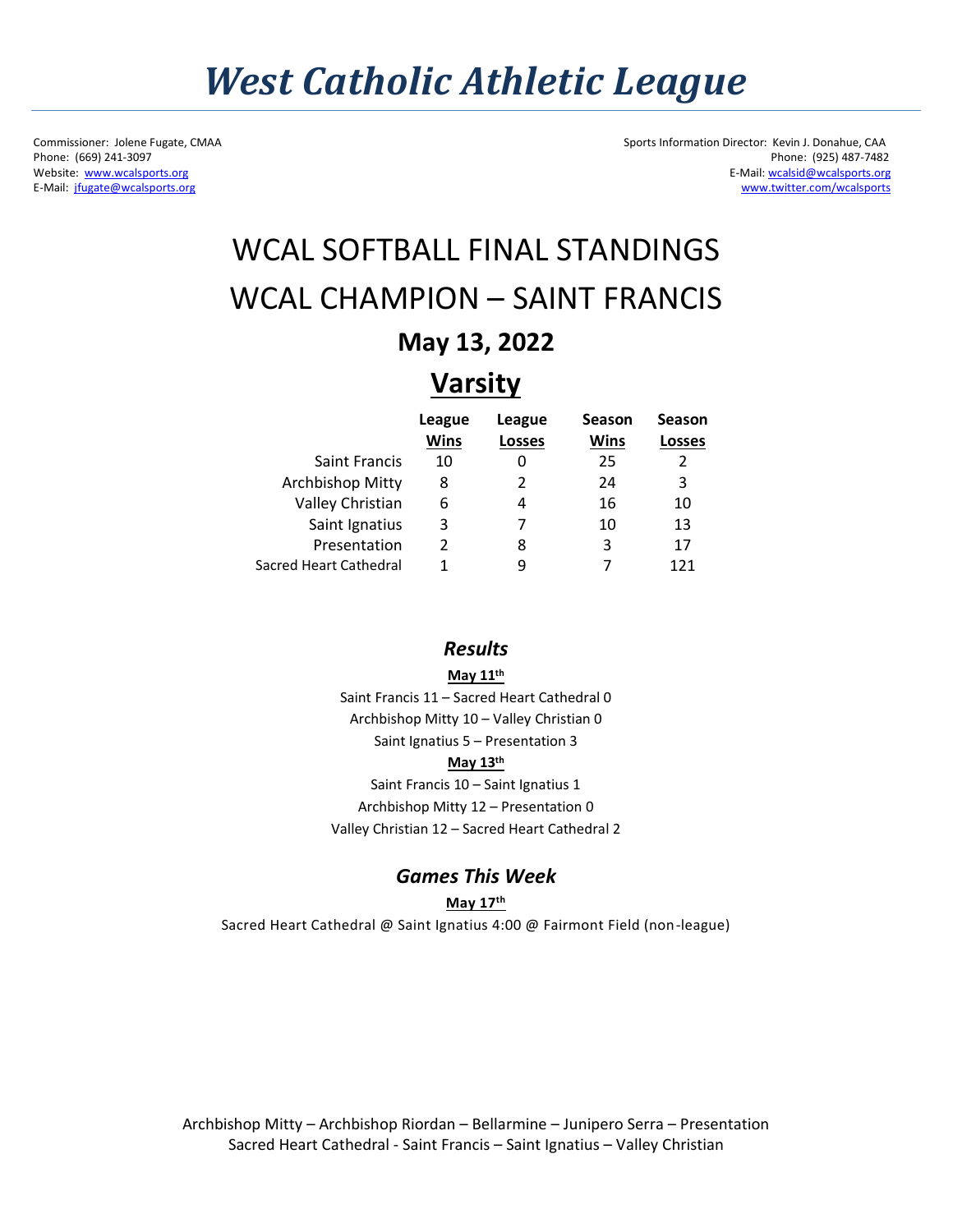## *West Catholic Athletic League*

E-Mail: jfugate@wcalsports.org

Commissioner: Jolene Fugate, CMAA Sports Information Director: Kevin J. Donahue, CAA<br>Phone: (669) 241-3097 Phone: (925) 487-7482 Phone: (669) 241-3097 Phone: (925) 487-7482<br>Website: www.wcalsports.org E-Mail: working produced by the state of the state of the state of the state of the state of the SMA and the SMA and the SMA and the SMA and the SMA a E-Mail: wcalsid@wcalsports.org<br>www.twitter.com/wcalsports

### WCAL SOFTBALL FINAL STANDINGS WCAL CHAMPION – SAINT FRANCIS

### **May 13, 2022**

### **Varsity**

|                        | League      | League        | Season | Season |
|------------------------|-------------|---------------|--------|--------|
|                        | <b>Wins</b> | <b>Losses</b> | Wins   | Losses |
| <b>Saint Francis</b>   | 10          |               | 25     | 2      |
| Archbishop Mitty       | 8           | 2             | 24     | 3      |
| Valley Christian       | 6           |               | 16     | 10     |
| Saint Ignatius         | 3           |               | 10     | 13     |
| Presentation           | 2           | 8             | 3      | 17     |
| Sacred Heart Cathedral |             | q             |        | 171    |

#### *Results*

**May 11th**

Saint Francis 11 – Sacred Heart Cathedral 0 Archbishop Mitty 10 – Valley Christian 0 Saint Ignatius 5 – Presentation 3 **May 13th** Saint Francis 10 – Saint Ignatius 1 Archbishop Mitty 12 – Presentation 0

Valley Christian 12 – Sacred Heart Cathedral 2

#### *Games This Week*

**May 17th**

Sacred Heart Cathedral @ Saint Ignatius 4:00 @ Fairmont Field (non-league)